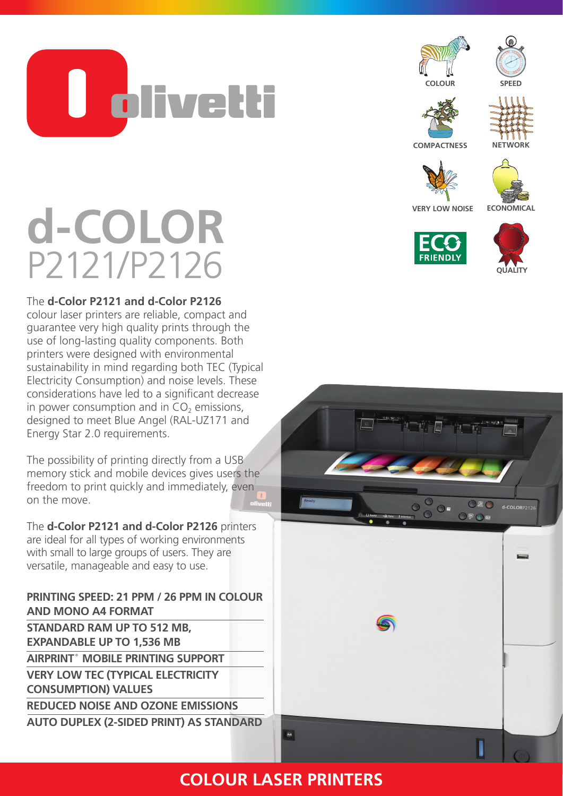<u>U olivetti</u>







**COMPACTNESS**

**ECONOMICAL** 



**QUALITY**

## **VERY LOW NOISE d-COLOR** P2121/P2126

## The **d-Color P2121 and d-Color P2126**

colour laser printers are reliable, compact and guarantee very high quality prints through the use of long-lasting quality components. Both printers were designed with environmental sustainability in mind regarding both TEC (Typical Electricity Consumption) and noise levels. These considerations have led to a significant decrease in power consumption and in  $CO<sub>2</sub>$  emissions, designed to meet Blue Angel (RAL-UZ171 and Energy Star 2.0 requirements.

The possibility of printing directly from a USB memory stick and mobile devices gives users the freedom to print quickly and immediately, even on the move.

The **d-Color P2121 and d-Color P2126** printers are ideal for all types of working environments with small to large groups of users. They are versatile, manageable and easy to use.

**PRINTING SPEED: 21 PPM / 26 PPM IN COLOUR AND MONO A4 FORMAT STANDARD RAM UP TO 512 MB, EXPANDABLE UP TO 1,536 MB AIRPRINT® MOBILE PRINTING SUPPORT VERY LOW TEC (TYPICAL ELECTRICITY CONSUMPTION) VALUES REDUCED NOISE AND OZONE EMISSIONS AUTO DUPLEX (2-SIDED PRINT) AS STANDARD**



## **COLOUR LASER PRINTERS**